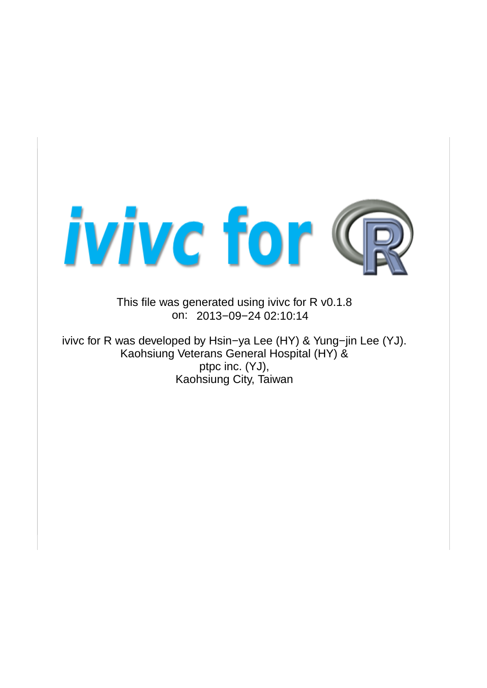

This file was generated using ivivc for R v0.1.8 on: 2013−09−24 02:10:14

ivivc for R was developed by Hsin−ya Lee (HY) & Yung−jin Lee (YJ). Kaohsiung Veterans General Hospital (HY) & ptpc inc. (YJ), Kaohsiung City, Taiwan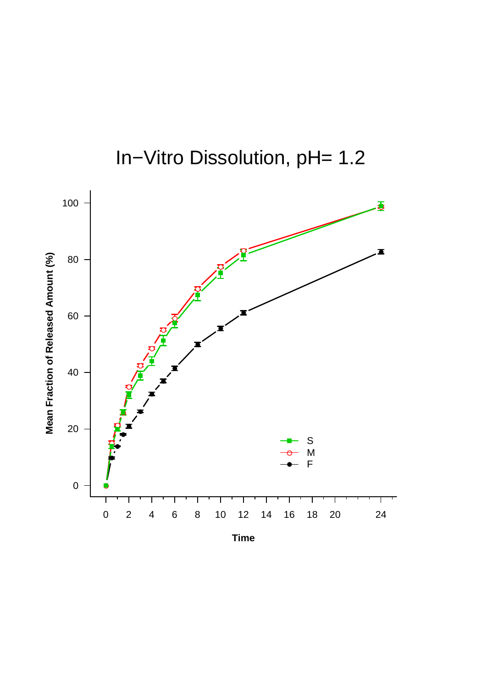

In−Vitro Dissolution, pH= 1.2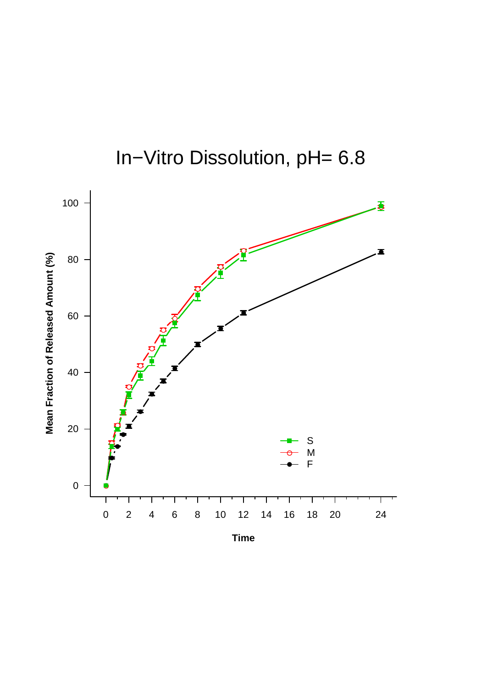

In−Vitro Dissolution, pH= 6.8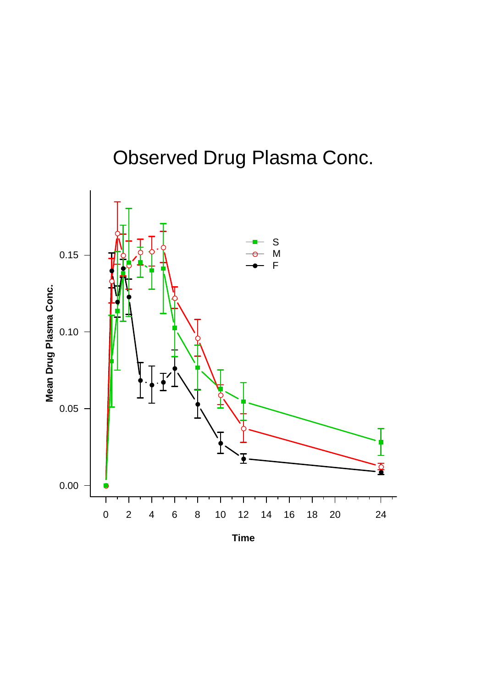## Observed Drug Plasma Conc.

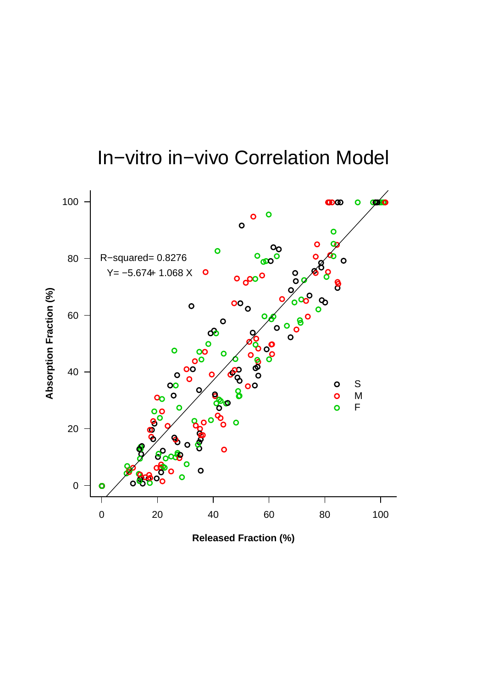## In−vitro in−vivo Correlation Model



**Released Fraction (%)**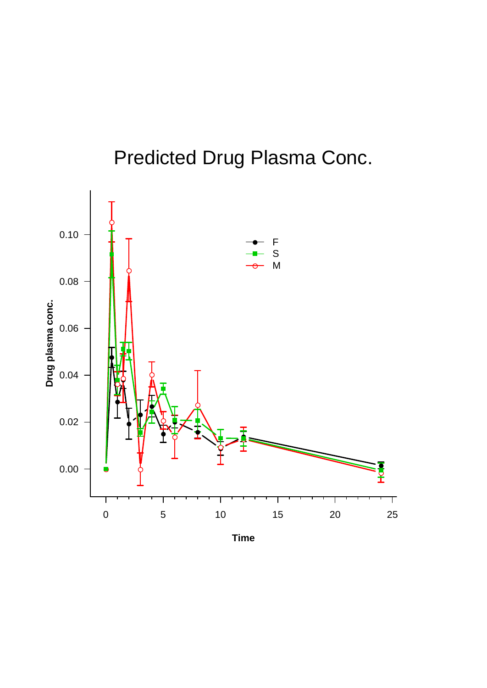

## Predicted Drug Plasma Conc.

**Time**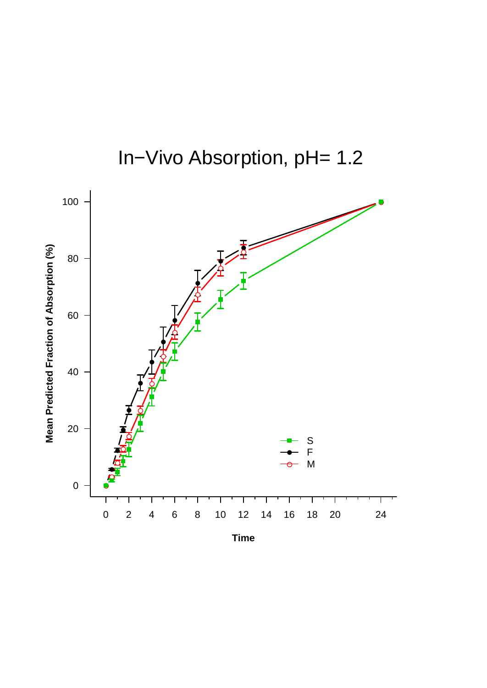